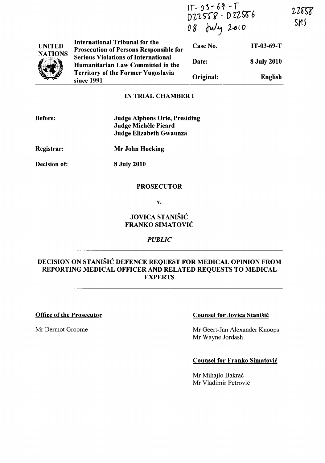|                | International Tribunal for the<br><b>Prosecution of Persons Responsible for</b> | IT-03-69-T<br>DZZ558-DZ2556<br>08 July 2010 |                    | 22558<br>SMS |
|----------------|---------------------------------------------------------------------------------|---------------------------------------------|--------------------|--------------|
| <b>UNITED</b>  |                                                                                 | Case No.                                    | $IT-03-69-T$       |              |
| <b>NATIONS</b> | <b>Serious Violations of International</b><br>Humanitarian Law Committed in the | Date:                                       | <b>8 July 2010</b> |              |
|                | <b>Territory of the Former Yugoslavia</b><br>since 1991                         | Original:                                   | English            |              |

### IN TRIAL CHAMBER I

| <b>Judge Alphons Orie, Presiding</b> |
|--------------------------------------|
| Judge Michèle Picard                 |
| Judge Elizabeth Gwaunza              |
|                                      |

Registrar:

Decision of:

Mr John Hocking

8 July 2010

### PROSECUTOR

v.

# JOVICA STANISIC FRANKO SIMATOVIC

### *PUBLIC*

# DECISION ON STANISIC DEFENCE REQUEST FOR MEDICAL OPINION FROM REPORTING MEDICAL OFFICER AND RELATED REQUESTS TO MEDICAL **EXPERTS**

#### Office of the Prosecutor

Mr Dermot Groome

### Counsel for Jovica Stanisic

Mr Geert-Jan Alexander Knoops Mr Wayne Jordash

## Counsel for Franko Simatovic

Mr Mihajlo Bakrač Mr Vladimir Petrović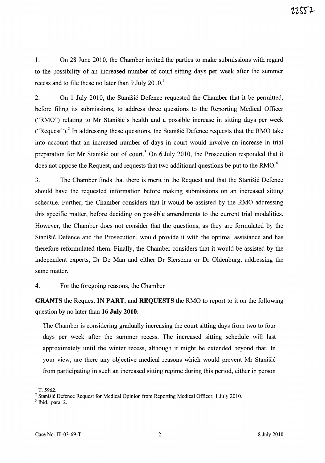1. On 28 June 2010, the Chamber invited the parties to make submissions with regard to the possibility of an increased number of court sitting days per week after the summer recess and to file these no later than 9 July 2010.<sup>1</sup>

2. On 1 July 2010, the Stanisic Defence requested the Chamber that it be permitted, before filing its submissions, to address three questions to the Reporting Medical Officer ("RMO") relating to Mr Stanišić's health and a possible increase in sitting days per week ("Request").<sup>2</sup> In addressing these questions, the Stanistic Defence requests that the RMO take into account that an increased number of days in court would involve an increase in trial preparation for Mr Stanisic out of court.<sup>3</sup> On 6 July 2010, the Prosecution responded that it does not oppose the Request, and requests that two additional questions be put to the RMO.<sup>4</sup>

3. The Chamber finds that there is merit in the Request and that the Stanisic Defence should have the requested information before making submissions on an increased sitting schedule. Further, the Chamber considers that it would be assisted by the RMO addressing this specific matter, before deciding on possible amendments to the current trial modalities. However, the Chamber does not consider that the questions, as they are formulated by the Stanišić Defence and the Prosecution, would provide it with the optimal assistance and has therefore reformulated them. Finally, the Chamber considers that it would be assisted by the independent experts, Dr De Man and either Dr Siersema or Dr Oldenburg, addressing the same matter.

### 4. For the foregoing reasons, the Chamber

**GRANTS** the Request **IN PART,** and **REQUESTS** the RMO to report to it on the following question by no later than **16 July 2010:** 

The Chamber is considering gradually increasing the court sitting days from two to four days per week after the summer recess. The increased sitting schedule will last approximately until the winter recess, although it might be extended beyond that. In your view, are there any objective medical reasons which would prevent Mr Stanišić from participating in such an increased sitting regime during this period, either in person

 $1$  T. 5962.

<sup>&</sup>lt;sup>2</sup> Stanišić Defence Request for Medical Opinion from Reporting Medical Officer, 1 July 2010.

 $3$  Ibid., para. 2.